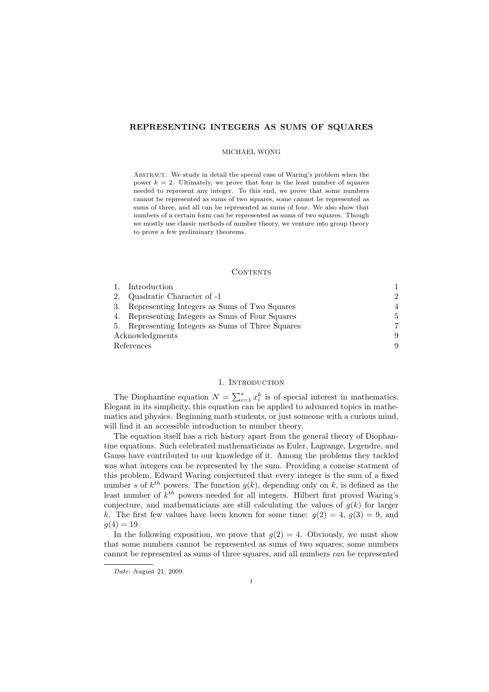## REPRESENTING INTEGERS AS SUMS OF SQUARES

#### MICHAEL WONG

ABSTRACT. We study in detail the special case of Waring's problem when the power  $k = 2$ . Ultimately, we prove that four is the least number of squares needed to represent any integer. To this end, we prove that some numbers cannot be represented as sums of two squares, some cannot be represented as sums of three, and all can be represented as sums of four. We also show that numbers of a certain form can be represented as sums of two squares. Though we mostly use classic methods of number theory, we venture into group theory to prove a few preliminary theorems.

### **CONTENTS**

|                 | 1. Introduction                                   |                             |
|-----------------|---------------------------------------------------|-----------------------------|
|                 | 2. Quadratic Character of -1                      | $\mathcal{D}_{\mathcal{L}}$ |
|                 | 3. Representing Integers as Sums of Two Squares   | 4                           |
|                 | 4. Representing Integers as Sums of Four Squares  | $5^{\circ}$                 |
|                 | 5. Representing Integers as Sums of Three Squares |                             |
| Acknowledgments |                                                   | 9                           |
| References      |                                                   | 9                           |

# 1. INTRODUCTION

The Diophantine equation  $N = \sum_{i=1}^{s} x_i^k$  is of special interest in mathematics. Elegant in its simplicity, this equation can be applied to advanced topics in mathematics and physics. Beginning math students, or just someone with a curious mind, will find it an accessible introduction to number theory.

The equation itself has a rich history apart from the general theory of Diophantine equations. Such celebrated mathematicians as Euler, Lagrange, Legendre, and Gauss have contributed to our knowledge of it. Among the problems they tackled was what integers can be represented by the sum. Providing a concise statment of this problem, Edward Waring conjectured that every integer is the sum of a fixed number s of  $k^{th}$  powers. The function  $g(k)$ , depending only on k, is defined as the least number of  $k^{th}$  powers needed for all integers. Hilbert first proved Waring's conjecture, and mathematicians are still calculating the values of  $g(k)$  for larger k. The first few values have been known for some time:  $g(2) = 4$ ,  $g(3) = 9$ , and  $g(4) = 19.$ 

In the following exposition, we prove that  $g(2) = 4$ . Obviously, we must show that some numbers cannot be represented as sums of two squares; some numbers cannot be represented as sums of three squares, and all numbers can be represented

Date: August 21, 2009.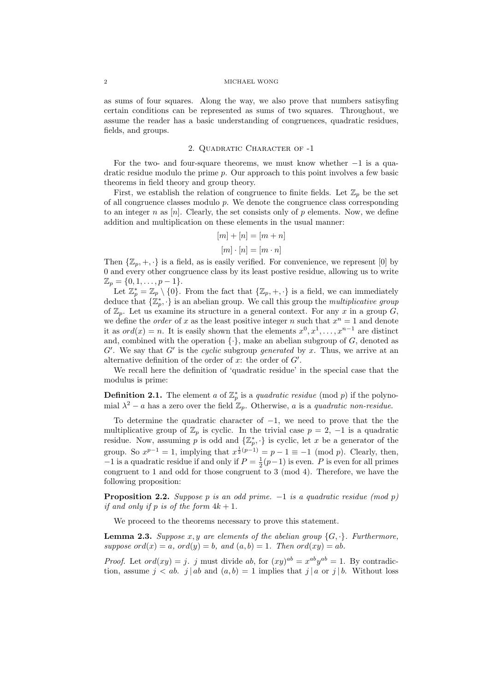#### 2 MICHAEL WONG

as sums of four squares. Along the way, we also prove that numbers satisyfing certain conditions can be represented as sums of two squares. Throughout, we assume the reader has a basic understanding of congruences, quadratic residues, fields, and groups.

# 2. Quadratic Character of -1

For the two- and four-square theorems, we must know whether  $-1$  is a quadratic residue modulo the prime p. Our approach to this point involves a few basic theorems in field theory and group theory.

First, we establish the relation of congruence to finite fields. Let  $\mathbb{Z}_p$  be the set of all congruence classes modulo  $p$ . We denote the congruence class corresponding to an integer n as  $[n]$ . Clearly, the set consists only of p elements. Now, we define addition and multiplication on these elements in the usual manner:

$$
[m] + [n] = [m+n]
$$

$$
[m] \cdot [n] = [m \cdot n]
$$

Then  $\{\mathbb{Z}_p, +, \cdot\}$  is a field, as is easily verified. For convenience, we represent [0] by 0 and every other congruence class by its least postive residue, allowing us to write  $\mathbb{Z}_p = \{0, 1, \ldots, p-1\}.$ 

Let  $\mathbb{Z}_p^* = \mathbb{Z}_p \setminus \{0\}$ . From the fact that  $\{\mathbb{Z}_p, +, \cdot\}$  is a field, we can immediately deduce that  $\{\mathbb{Z}_p^*, \cdot\}$  is an abelian group. We call this group the *multiplicative group* of  $\mathbb{Z}_n$ . Let us examine its structure in a general context. For any x in a group G, we define the *order* of x as the least positive integer n such that  $x^n = 1$  and denote it as  $ord(x) = n$ . It is easily shown that the elements  $x^0, x^1, \ldots, x^{n-1}$  are distinct and, combined with the operation  $\{\cdot\}$ , make an abelian subgroup of G, denoted as  $G'$ . We say that  $G'$  is the cyclic subgroup generated by x. Thus, we arrive at an alternative definition of the order of  $x$ : the order of  $G'$ .

We recall here the definition of 'quadratic residue' in the special case that the modulus is prime:

**Definition 2.1.** The element a of  $\mathbb{Z}_p^*$  is a quadratic residue (mod p) if the polynomial  $\lambda^2 - a$  has a zero over the field  $\mathbb{Z}_p$ . Otherwise, a is a quadratic non-residue.

To determine the quadratic character of  $-1$ , we need to prove that the the multiplicative group of  $\mathbb{Z}_p$  is cyclic. In the trivial case  $p = 2, -1$  is a quadratic residue. Now, assuming p is odd and  $\{\mathbb{Z}_p^*, \cdot\}$  is cyclic, let x be a generator of the group. So  $x^{p-1} = 1$ , implying that  $x^{\frac{1}{2}(p-1)} = p-1 \equiv -1 \pmod{p}$ . Clearly, then,  $-1$  is a quadratic residue if and only if  $P = \frac{1}{2}(p-1)$  is even. P is even for all primes congruent to 1 and odd for those congruent to 3 (mod 4). Therefore, we have the following proposition:

**Proposition 2.2.** Suppose p is an odd prime.  $-1$  is a quadratic residue (mod p) if and only if p is of the form  $4k + 1$ .

We proceed to the theorems necessary to prove this statement.

**Lemma 2.3.** Suppose x, y are elements of the abelian group  $\{G, \cdot\}$ . Furthermore, suppose  $ord(x) = a$ ,  $ord(y) = b$ , and  $(a, b) = 1$ . Then  $ord(xy) = ab$ .

*Proof.* Let  $ord(xy) = j$ . j must divide ab, for  $(xy)^{ab} = x^{ab}y^{ab} = 1$ . By contradiction, assume  $j < ab$ .  $j | ab$  and  $(a, b) = 1$  implies that  $j | a$  or  $j | b$ . Without loss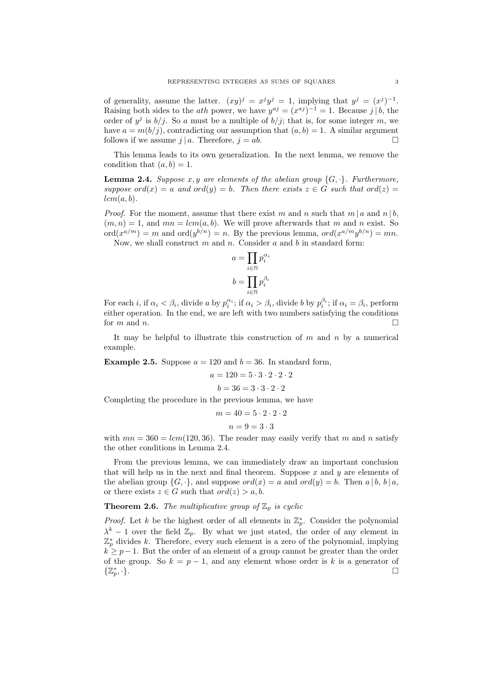of generality, assume the latter.  $(xy)^j = x^j y^j = 1$ , implying that  $y^j = (x^j)^{-1}$ . Raising both sides to the *ath* power, we have  $y^{aj} = (x^{aj})^{-1} = 1$ . Because j | b, the order of  $y^j$  is  $b/j$ . So a must be a multiple of  $b/j$ ; that is, for some integer m, we have  $a = m(b/j)$ , contradicting our assumption that  $(a, b) = 1$ . A similar argument follows if we assume  $i | a$ . Therefore,  $i = ab$ .

This lemma leads to its own generalization. In the next lemma, we remove the condition that  $(a, b) = 1$ .

**Lemma 2.4.** Suppose x, y are elements of the abelian group  $\{G, \cdot\}$ . Furthermore, suppose  $ord(x) = a$  and  $ord(y) = b$ . Then there exists  $z \in G$  such that  $ord(z) =$  $lcm(a, b)$ .

*Proof.* For the moment, assume that there exist m and n such that  $m | a$  and  $n | b$ ,  $(m, n) = 1$ , and  $mn = lcm(a, b)$ . We will prove afterwards that m and n exist. So  $\mathrm{ord}(x^{a/m}) = m$  and  $\mathrm{ord}(y^{b/n}) = n$ . By the previous lemma,  $\mathrm{ord}(x^{a/m}y^{b/n}) = mn$ .

Now, we shall construct  $m$  and  $n$ . Consider  $a$  and  $b$  in standard form:

$$
a = \prod_{i \in \mathbb{N}} p_i^{\alpha_i}
$$

$$
b = \prod_{i \in \mathbb{N}} p_i^{\beta_i}
$$

For each *i*, if  $\alpha_i < \beta_i$ , divide *a* by  $p_i^{\alpha_i}$ ; if  $\alpha_i > \beta_i$ , divide *b* by  $p_i^{\beta_i}$ ; if  $\alpha_i = \beta_i$ , perform either operation. In the end, we are left with two numbers satisfying the conditions for m and n.

It may be helpful to illustrate this construction of  $m$  and  $n$  by a numerical example.

**Example 2.5.** Suppose  $a = 120$  and  $b = 36$ . In standard form,

$$
a = 120 = 5 \cdot 3 \cdot 2 \cdot 2 \cdot 2
$$

$$
b = 36 = 3 \cdot 3 \cdot 2 \cdot 2
$$
Completing the procedure in the previous lemma, we have

$$
m = 40 = 5 \cdot 2 \cdot 2 \cdot 2
$$

$$
n = 9 = 3 \cdot 3
$$

with  $mn = 360 = lcm(120, 36)$ . The reader may easily verify that m and n satisfy the other conditions in Lemma 2.4.

From the previous lemma, we can immediately draw an important conclusion that will help us in the next and final theorem. Suppose  $x$  and  $y$  are elements of the abelian group  $\{G, \cdot\}$ , and suppose  $ord(x) = a$  and  $ord(y) = b$ . Then  $a \mid b, b \mid a$ , or there exists  $z \in G$  such that  $ord(z) > a, b$ .

# **Theorem 2.6.** The multiplicative group of  $\mathbb{Z}_p$  is cyclic

*Proof.* Let k be the highest order of all elements in  $\mathbb{Z}_p^*$ . Consider the polynomial  $\lambda^{k} - 1$  over the field  $\mathbb{Z}_{p}$ . By what we just stated, the order of any element in  $\mathbb{Z}_p^*$  divides k. Therefore, every such element is a zero of the polynomial, implying  $k \geq p-1$ . But the order of an element of a group cannot be greater than the order of the group. So  $k = p - 1$ , and any element whose order is k is a generator of  $\{\mathbb Z_p^*$ , ·}.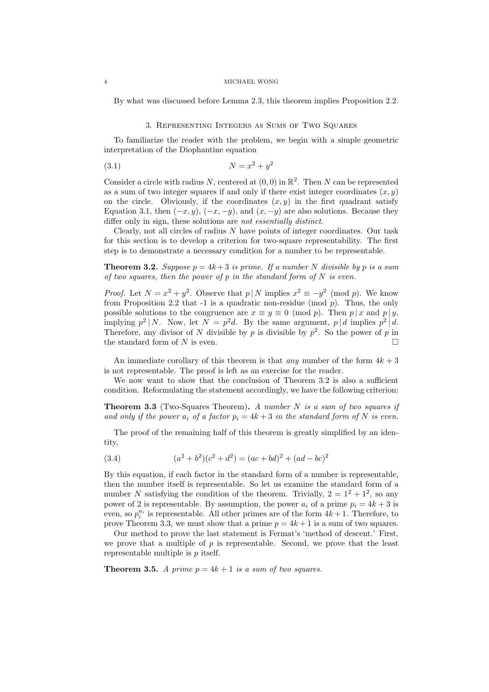#### 4 MICHAEL WONG

By what was discussed before Lemma 2.3, this theorem implies Proposition 2.2.

## 3. Representing Integers as Sums of Two Squares

To familiarize the reader with the problem, we begin with a simple geometric interpretation of the Diophantine equation

$$
(3.1)\qquad \qquad N = x^2 + y^2
$$

Consider a circle with radius N, centered at  $(0,0)$  in  $\mathbb{R}^2$ . Then N can be represented as a sum of two integer squares if and only if there exist integer coordinates  $(x, y)$ on the circle. Obviously, if the coordinates  $(x, y)$  in the first quadrant satisfy Equation 3.1, then  $(-x, y)$ ,  $(-x, -y)$ , and  $(x, -y)$  are also solutions. Because they differ only in sign, these solutions are *not essentially distinct*.

Clearly, not all circles of radius N have points of integer coordinates. Our task for this section is to develop a criterion for two-square representability. The first step is to demonstrate a necessary condition for a number to be representable.

**Theorem 3.2.** Suppose  $p = 4k + 3$  is prime. If a number N divisible by p is a sum of two squares, then the power of p in the standard form of  $N$  is even.

*Proof.* Let  $N = x^2 + y^2$ . Observe that  $p \mid N$  implies  $x^2 \equiv -y^2 \pmod{p}$ . We know from Proposition 2.2 that -1 is a quadratic non-residue (mod  $p$ ). Thus, the only possible solutions to the congruence are  $x \equiv y \equiv 0 \pmod{p}$ . Then  $p | x$  and  $p | y$ , implying  $p^2 | N$ . Now, let  $N = p^2d$ . By the same argument,  $p | d$  implies  $p^2 | d$ . Therefore, any divisor of N divisible by p is divisible by  $p^2$ . So the power of p in the standard form of N is even.

An immediate corollary of this theorem is that *any* number of the form  $4k + 3$ is not representable. The proof is left as an exercise for the reader.

We now want to show that the conclusion of Theorem 3.2 is also a sufficient condition. Reformulating the statement accordingly, we have the following criterion:

**Theorem 3.3** (Two-Squares Theorem). A number  $N$  is a sum of two squares if and only if the power  $a_i$  of a factor  $p_i = 4k + 3$  in the standard form of N is even.

The proof of the remaining half of this theorem is greatly simplified by an identity,

(3.4) 
$$
(a^2 + b^2)(c^2 + d^2) = (ac + bd)^2 + (ad - bc)^2
$$

By this equation, if each factor in the standard form of a number is representable, then the number itself is representable. So let us examine the standard form of a number N satisfying the condition of the theorem. Trivially,  $2 = 1^2 + 1^2$ , so any power of 2 is representable. By assumption, the power  $a_i$  of a prime  $p_i = 4k + 3$  is even, so  $p_i^{a_i}$  is representable. All other primes are of the form  $4k+1$ . Therefore, to prove Theorem 3.3, we must show that a prime  $p = 4k + 1$  is a sum of two squares.

Our method to prove the last statement is Fermat's 'method of descent.' First, we prove that a multiple of  $p$  is representable. Second, we prove that the least representable multiple is  $p$  itself.

**Theorem 3.5.** A prime  $p = 4k + 1$  is a sum of two squares.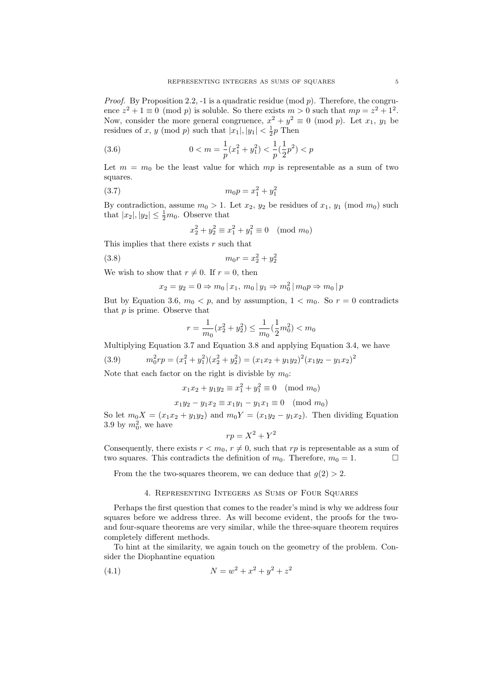*Proof.* By Proposition 2.2, -1 is a quadratic residue (mod  $p$ ). Therefore, the congruence  $z^2 + 1 \equiv 0 \pmod{p}$  is soluble. So there exists  $m > 0$  such that  $mp = z^2 + 1^2$ . Now, consider the more general congruence,  $x^2 + y^2 \equiv 0 \pmod{p}$ . Let  $x_1, y_1$  be residues of x, y (mod p) such that  $|x_1|, |y_1| < \frac{1}{2}p$  Then

(3.6) 
$$
0 < m = \frac{1}{p}(x_1^2 + y_1^2) < \frac{1}{p}(\frac{1}{2}p^2) < p
$$

Let  $m = m_0$  be the least value for which mp is representable as a sum of two squares.

$$
(3.7) \t m_0 p = x_1^2 + y_1^2
$$

By contradiction, assume  $m_0 > 1$ . Let  $x_2, y_2$  be residues of  $x_1, y_1 \pmod{m_0}$  such that  $|x_2|, |y_2| \leq \frac{1}{2}m_0$ . Observe that

$$
x_2^2 + y_2^2 \equiv x_1^2 + y_1^2 \equiv 0 \pmod{m_0}
$$

This implies that there exists  $r$  such that

$$
(3.8) \t m_0 r = x_2^2 + y_2^2
$$

We wish to show that  $r \neq 0$ . If  $r = 0$ , then

$$
x_2 = y_2 = 0 \Rightarrow m_0 \, | \, x_1, \, m_0 \, | \, y_1 \Rightarrow m_0^2 \, | \, m_0 p \Rightarrow m_0 \, | \, p
$$

But by Equation 3.6,  $m_0 < p$ , and by assumption,  $1 < m_0$ . So  $r = 0$  contradicts that  $p$  is prime. Observe that

$$
r = \frac{1}{m_0}(x_2^2 + y_2^2) \le \frac{1}{m_0}(\frac{1}{2}m_0^2) < m_0
$$

Multiplying Equation 3.7 and Equation 3.8 and applying Equation 3.4, we have

(3.9) 
$$
m_0^2 r p = (x_1^2 + y_1^2)(x_2^2 + y_2^2) = (x_1 x_2 + y_1 y_2)^2 (x_1 y_2 - y_1 x_2)^2
$$

Note that each factor on the right is divisble by  $m_0$ :

$$
x_1 x_2 + y_1 y_2 \equiv x_1^2 + y_1^2 \equiv 0 \pmod{m_0}
$$

$$
x_1 y_2 - y_1 x_2 \equiv x_1 y_1 - y_1 x_1 \equiv 0 \pmod{m_0}
$$

So let  $m_0X = (x_1x_2 + y_1y_2)$  and  $m_0Y = (x_1y_2 - y_1x_2)$ . Then dividing Equation 3.9 by  $m_0^2$ , we have

$$
rp = X^2 + Y^2
$$

Consequently, there exists  $r < m_0$ ,  $r \neq 0$ , such that rp is representable as a sum of two squares. This contradicts the definition of  $m_0$ . Therefore,  $m_0 = 1$ .

From the the two-squares theorem, we can deduce that  $g(2) > 2$ .

## 4. Representing Integers as Sums of Four Squares

Perhaps the first question that comes to the reader's mind is why we address four squares before we address three. As will become evident, the proofs for the twoand four-square theorems are very similar, while the three-square theorem requires completely different methods.

To hint at the similarity, we again touch on the geometry of the problem. Consider the Diophantine equation

(4.1) 
$$
N = w^2 + x^2 + y^2 + z^2
$$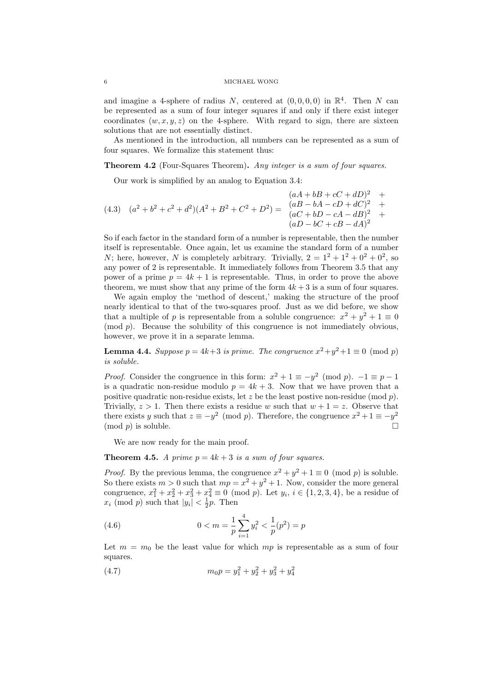and imagine a 4-sphere of radius N, centered at  $(0,0,0,0)$  in  $\mathbb{R}^4$ . Then N can be represented as a sum of four integer squares if and only if there exist integer coordinates  $(w, x, y, z)$  on the 4-sphere. With regard to sign, there are sixteen solutions that are not essentially distinct.

As mentioned in the introduction, all numbers can be represented as a sum of four squares. We formalize this statement thus:

**Theorem 4.2** (Four-Squares Theorem). Any integer is a sum of four squares.

Our work is simplified by an analog to Equation 3.4:

$$
(4.3) \quad (a^2 + b^2 + c^2 + d^2)(A^2 + B^2 + C^2 + D^2) = \begin{array}{c} (aA + bB + cC + dD)^2 & + \\ (aB - bA - cD + dC)^2 & + \\ (aC + bD - cA - dB)^2 & + \\ (aD - bC + cB - dA)^2 & \end{array}
$$

So if each factor in the standard form of a number is representable, then the number itself is representable. Once again, let us examine the standard form of a number N; here, however, N is completely arbitrary. Trivially,  $2 = 1^2 + 1^2 + 0^2 + 0^2$ , so any power of 2 is representable. It immediately follows from Theorem 3.5 that any power of a prime  $p = 4k + 1$  is representable. Thus, in order to prove the above theorem, we must show that any prime of the form  $4k + 3$  is a sum of four squares.

We again employ the 'method of descent,' making the structure of the proof nearly identical to that of the two-squares proof. Just as we did before, we show that a multiple of p is representable from a soluble congruence:  $x^2 + y^2 + 1 \equiv 0$  $p$ . Because the solubility of this congruence is not immediately obvious, however, we prove it in a separate lemma.

**Lemma 4.4.** Suppose  $p = 4k+3$  is prime. The congruence  $x^2 + y^2 + 1 \equiv 0 \pmod{p}$ is soluble.

*Proof.* Consider the congruence in this form:  $x^2 + 1 \equiv -y^2 \pmod{p}$ .  $-1 \equiv p-1$ is a quadratic non-residue modulo  $p = 4k + 3$ . Now that we have proven that a positive quadratic non-residue exists, let z be the least postive non-residue (mod  $p$ ). Trivially,  $z > 1$ . Then there exists a residue w such that  $w + 1 = z$ . Observe that there exists y such that  $z \equiv -y^2 \pmod{p}$ . Therefore, the congruence  $x^2 + 1 \equiv -y^2$  $(\text{mod } p)$  is soluble.

We are now ready for the main proof.

**Theorem 4.5.** A prime  $p = 4k + 3$  is a sum of four squares.

*Proof.* By the previous lemma, the congruence  $x^2 + y^2 + 1 \equiv 0 \pmod{p}$  is soluble. So there exists  $m > 0$  such that  $mp = x^2 + y^2 + 1$ . Now, consider the more general congruence,  $x_1^2 + x_2^2 + x_3^2 + x_4^2 \equiv 0 \pmod{p}$ . Let  $y_i, i \in \{1, 2, 3, 4\}$ , be a residue of  $x_i \pmod{p}$  such that  $|y_i| < \frac{1}{2}p$ . Then

(4.6) 
$$
0 < m = \frac{1}{p} \sum_{i=1}^{4} y_i^2 < \frac{1}{p} (p^2) = p
$$

Let  $m = m_0$  be the least value for which  $mp$  is representable as a sum of four squares.

(4.7) 
$$
m_0 p = y_1^2 + y_2^2 + y_3^2 + y_4^2
$$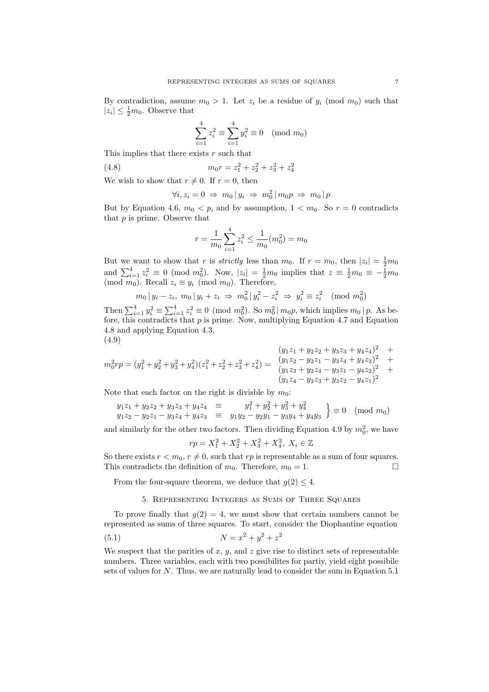By contradiction, assume  $m_0 > 1$ . Let  $z_i$  be a residue of  $y_i \pmod{m_0}$  such that  $|z_i| \leq \frac{1}{2}m_0$ . Observe that

$$
\sum_{i=1}^{4} z_i^2 \equiv \sum_{i=1}^{4} y_i^2 \equiv 0 \pmod{m_0}
$$

This implies that there exists r such that

(4.8) 
$$
m_0 r = z_1^2 + z_2^2 + z_3^2 + z_4^2
$$

We wish to show that  $r \neq 0$ . If  $r = 0$ , then

$$
\forall i, z_i = 0 \Rightarrow m_0 \, | \, y_i \Rightarrow m_0^2 \, | \, m_0 p \Rightarrow m_0 \, | \, p
$$

But by Equation 4.6,  $m_0 < p$ , and by assumption,  $1 < m_0$ . So  $r = 0$  contradicts that  $p$  is prime. Observe that

$$
r = \frac{1}{m_0} \sum_{i=1}^{4} z_i^2 \le \frac{1}{m_0} (m_0^2) = m_0
$$

But we want to show that r is *strictly* less than  $m_0$ . If  $r = m_0$ , then  $|z_i| = \frac{1}{2}m_0$ and  $\sum_{i=1}^{4} z_i^2 \equiv 0 \pmod{m_0^2}$ . Now,  $|z_i| = \frac{1}{2}m_0$  implies that  $z \equiv \frac{1}{2}m_0 \equiv -\frac{1}{2}m_0$ (mod  $m_0$ ). Recall  $z_i \equiv y_i \pmod{m_0}$ . Therefore,

$$
m_0 | y_i - z_i, m_0 | y_i + z_i \Rightarrow m_0^2 | y_i^2 - z_i^2 \Rightarrow y_i^2 \equiv z_i^2 \pmod{m_0^2}
$$

Then  $\sum_{i=1}^{4} y_i^2 \equiv \sum_{i=1}^{4} z_i^2 \equiv 0 \pmod{m_0^2}$ . So  $m_0^2 | m_0 p$ , which implies  $m_0 | p$ . As before, this contradicts that  $p$  is prime. Now, multiplying Equation 4.7 and Equation 4.8 and applying Equation 4.3, (4.9)

$$
(y_1z_1 + y_2z_2 + y_3z_3 + y_4z_4)^2 + m_0^2rp = (y_1^2 + y_2^2 + y_3^2 + y_4^2)(z_1^2 + z_2^2 + z_3^2 + z_4^2) = \begin{cases} (y_1z_1 + y_2z_2 + y_3z_3 + y_4z_4)^2 + (y_1z_2 - y_2z_1 - y_3z_4 + y_4z_3)^2 + (y_1z_3 + y_2z_4 - y_3z_1 - y_4z_2)^2 + (y_1z_4 - y_2z_3 + y_3z_2 - y_4z_1)^2 \end{cases}
$$

Note that each factor on the right is divisble by  $m_0$ :

$$
y_1 z_1 + y_2 z_2 + y_3 z_3 + y_4 z_4 \equiv y_1^2 + y_2^2 + y_3^2 + y_4^2
$$
  
\n
$$
y_1 z_2 - y_2 z_1 - y_3 z_4 + y_4 z_3 \equiv y_1 y_2 - y_2 y_1 - y_3 y_4 + y_4 y_3 \equiv 0 \pmod{m_0}
$$

and similarly for the other two factors. Then dividing Equation 4.9 by  $m_0^2$ , we have

$$
rp = X_1^2 + X_2^2 + X_3^2 + X_4^2, \ X_i \in \mathbb{Z}
$$

So there exists  $r < m_0$ ,  $r \neq 0$ , such that rp is representable as a sum of four squares. This contradicts the definition of  $m_0$ . Therefore,  $m_0 = 1$ .

From the four-square theorem, we deduce that  $g(2) \leq 4$ .

## 5. Representing Integers as Sums of Three Squares

To prove finally that  $g(2) = 4$ , we must show that certain numbers cannot be represented as sums of three squares. To start, consider the Diophantine equation (5.1)  $N = x^2 + y^2 + z^2$ 

We suspect that the parities of  $x, y$ , and  $z$  give rise to distinct sets of representable numbers. Three variables, each with two possibilites for partiy, yield eight possibile sets of values for N. Thus, we are naturally lead to consider the sum in Equation 5.1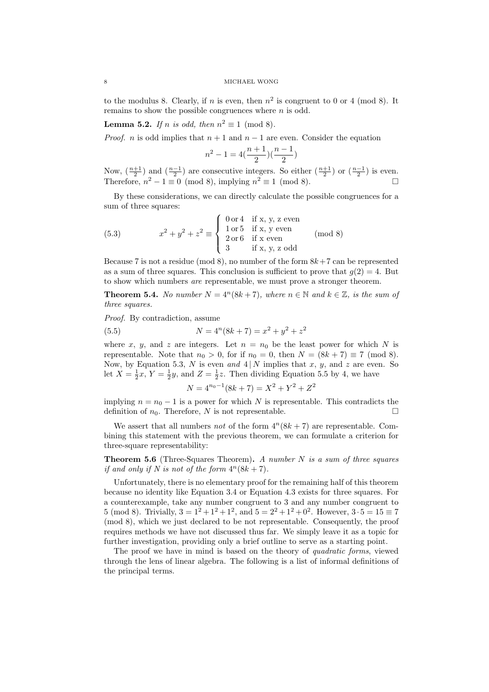### 8 MICHAEL WONG

to the modulus 8. Clearly, if n is even, then  $n^2$  is congruent to 0 or 4 (mod 8). It remains to show the possible congruences where  $n$  is odd.

**Lemma 5.2.** If n is odd, then  $n^2 \equiv 1 \pmod{8}$ .

*Proof. n* is odd implies that  $n + 1$  and  $n - 1$  are even. Consider the equation

$$
n^2 - 1 = 4(\frac{n+1}{2})(\frac{n-1}{2})
$$

Now,  $\left(\frac{n+1}{2}\right)$  and  $\left(\frac{n-1}{2}\right)$  are consecutive integers. So either  $\left(\frac{n+1}{2}\right)$  or  $\left(\frac{n-1}{2}\right)$  is even. Therefore,  $n^2 - 1 \equiv 0 \pmod{8}$ , implying  $n^2 \equiv 1 \pmod{8}$ .

By these considerations, we can directly calculate the possible congruences for a sum of three squares:

(5.3) 
$$
x^{2} + y^{2} + z^{2} \equiv \begin{cases} 0 \text{ or } 4 & \text{if } x, y, z \text{ even} \\ 1 \text{ or } 5 & \text{if } x, y \text{ even} \\ 2 \text{ or } 6 & \text{if } x \text{ even} \\ 3 & \text{if } x, y, z \text{ odd} \end{cases} \pmod{8}
$$

Because 7 is not a residue (mod 8), no number of the form  $8k+7$  can be represented as a sum of three squares. This conclusion is sufficient to prove that  $g(2) = 4$ . But to show which numbers are representable, we must prove a stronger theorem.

**Theorem 5.4.** No number  $N = 4^n(8k + 7)$ , where  $n \in \mathbb{N}$  and  $k \in \mathbb{Z}$ , is the sum of three squares.

Proof. By contradiction, assume

(5.5) 
$$
N = 4^{n}(8k + 7) = x^{2} + y^{2} + z^{2}
$$

where x, y, and z are integers. Let  $n = n_0$  be the least power for which N is representable. Note that  $n_0 > 0$ , for if  $n_0 = 0$ , then  $N = (8k + 7) \equiv 7 \pmod{8}$ . Now, by Equation 5.3, N is even and  $4 | N$  implies that x, y, and z are even. So let  $X = \frac{1}{2}x$ ,  $Y = \frac{1}{2}y$ , and  $Z = \frac{1}{2}z$ . Then dividing Equation 5.5 by 4, we have

$$
N = 4^{n_0 - 1}(8k + 7) = X^2 + Y^2 + Z^2
$$

implying  $n = n_0 - 1$  is a power for which N is representable. This contradicts the definition of  $n_0$ . Therefore, N is not representable.

We assert that all numbers *not* of the form  $4^n(8k + 7)$  are representable. Combining this statement with the previous theorem, we can formulate a criterion for three-square representability:

**Theorem 5.6** (Three-Squares Theorem). A number  $N$  is a sum of three squares if and only if N is not of the form  $4^n(8k + 7)$ .

Unfortunately, there is no elementary proof for the remaining half of this theorem because no identity like Equation 3.4 or Equation 4.3 exists for three squares. For a counterexample, take any number congruent to 3 and any number congruent to 5 (mod 8). Trivially,  $3 = 1^2 + 1^2 + 1^2$ , and  $5 = 2^2 + 1^2 + 0^2$ . However,  $3 \cdot 5 = 15 \equiv 7$ (mod 8), which we just declared to be not representable. Consequently, the proof requires methods we have not discussed thus far. We simply leave it as a topic for further investigation, providing only a brief outline to serve as a starting point.

The proof we have in mind is based on the theory of *quadratic forms*, viewed through the lens of linear algebra. The following is a list of informal definitions of the principal terms.